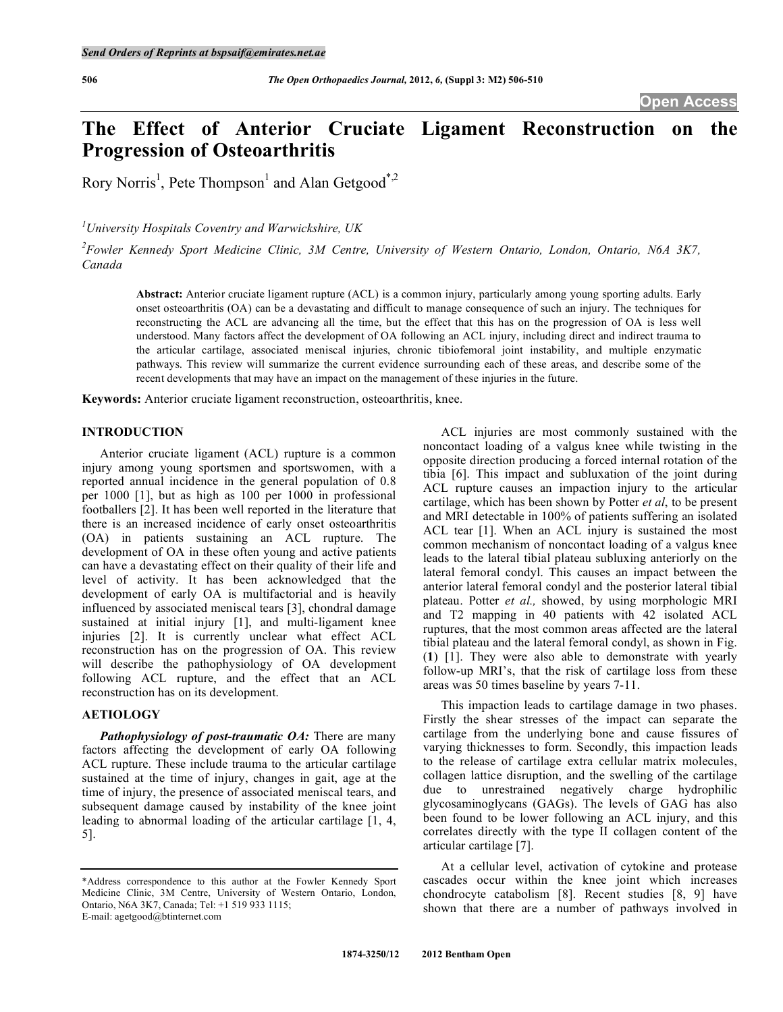# **The Effect of Anterior Cruciate Ligament Reconstruction on the Progression of Osteoarthritis**

Rory Norris<sup>1</sup>, Pete Thompson<sup>1</sup> and Alan Getgood<sup>\*,2</sup>

*1 University Hospitals Coventry and Warwickshire, UK* 

*2 Fowler Kennedy Sport Medicine Clinic, 3M Centre, University of Western Ontario, London, Ontario, N6A 3K7, Canada* 

**Abstract:** Anterior cruciate ligament rupture (ACL) is a common injury, particularly among young sporting adults. Early onset osteoarthritis (OA) can be a devastating and difficult to manage consequence of such an injury. The techniques for reconstructing the ACL are advancing all the time, but the effect that this has on the progression of OA is less well understood. Many factors affect the development of OA following an ACL injury, including direct and indirect trauma to the articular cartilage, associated meniscal injuries, chronic tibiofemoral joint instability, and multiple enzymatic pathways. This review will summarize the current evidence surrounding each of these areas, and describe some of the recent developments that may have an impact on the management of these injuries in the future.

**Keywords:** Anterior cruciate ligament reconstruction, osteoarthritis, knee.

### **INTRODUCTION**

 Anterior cruciate ligament (ACL) rupture is a common injury among young sportsmen and sportswomen, with a reported annual incidence in the general population of 0.8 per 1000 [1], but as high as 100 per 1000 in professional footballers [2]. It has been well reported in the literature that there is an increased incidence of early onset osteoarthritis (OA) in patients sustaining an ACL rupture. The development of OA in these often young and active patients can have a devastating effect on their quality of their life and level of activity. It has been acknowledged that the development of early OA is multifactorial and is heavily influenced by associated meniscal tears [3], chondral damage sustained at initial injury [1], and multi-ligament knee injuries [2]. It is currently unclear what effect ACL reconstruction has on the progression of OA. This review will describe the pathophysiology of OA development following ACL rupture, and the effect that an ACL reconstruction has on its development.

## **AETIOLOGY**

 *Pathophysiology of post-traumatic OA:* There are many factors affecting the development of early OA following ACL rupture. These include trauma to the articular cartilage sustained at the time of injury, changes in gait, age at the time of injury, the presence of associated meniscal tears, and subsequent damage caused by instability of the knee joint leading to abnormal loading of the articular cartilage [1, 4, 5].

 ACL injuries are most commonly sustained with the noncontact loading of a valgus knee while twisting in the opposite direction producing a forced internal rotation of the tibia [6]. This impact and subluxation of the joint during ACL rupture causes an impaction injury to the articular cartilage, which has been shown by Potter *et al*, to be present and MRI detectable in 100% of patients suffering an isolated ACL tear [1]. When an ACL injury is sustained the most common mechanism of noncontact loading of a valgus knee leads to the lateral tibial plateau subluxing anteriorly on the lateral femoral condyl. This causes an impact between the anterior lateral femoral condyl and the posterior lateral tibial plateau. Potter *et al.,* showed, by using morphologic MRI and T2 mapping in 40 patients with 42 isolated ACL ruptures, that the most common areas affected are the lateral tibial plateau and the lateral femoral condyl, as shown in Fig. (**1**) [1]. They were also able to demonstrate with yearly follow-up MRI's, that the risk of cartilage loss from these areas was 50 times baseline by years 7-11.

 This impaction leads to cartilage damage in two phases. Firstly the shear stresses of the impact can separate the cartilage from the underlying bone and cause fissures of varying thicknesses to form. Secondly, this impaction leads to the release of cartilage extra cellular matrix molecules, collagen lattice disruption, and the swelling of the cartilage due to unrestrained negatively charge hydrophilic glycosaminoglycans (GAGs). The levels of GAG has also been found to be lower following an ACL injury, and this correlates directly with the type II collagen content of the articular cartilage [7].

 At a cellular level, activation of cytokine and protease cascades occur within the knee joint which increases chondrocyte catabolism [8]. Recent studies [8, 9] have shown that there are a number of pathways involved in

<sup>\*</sup>Address correspondence to this author at the Fowler Kennedy Sport Medicine Clinic, 3M Centre, University of Western Ontario, London, Ontario, N6A 3K7, Canada; Tel: +1 519 933 1115; E-mail: agetgood@btinternet.com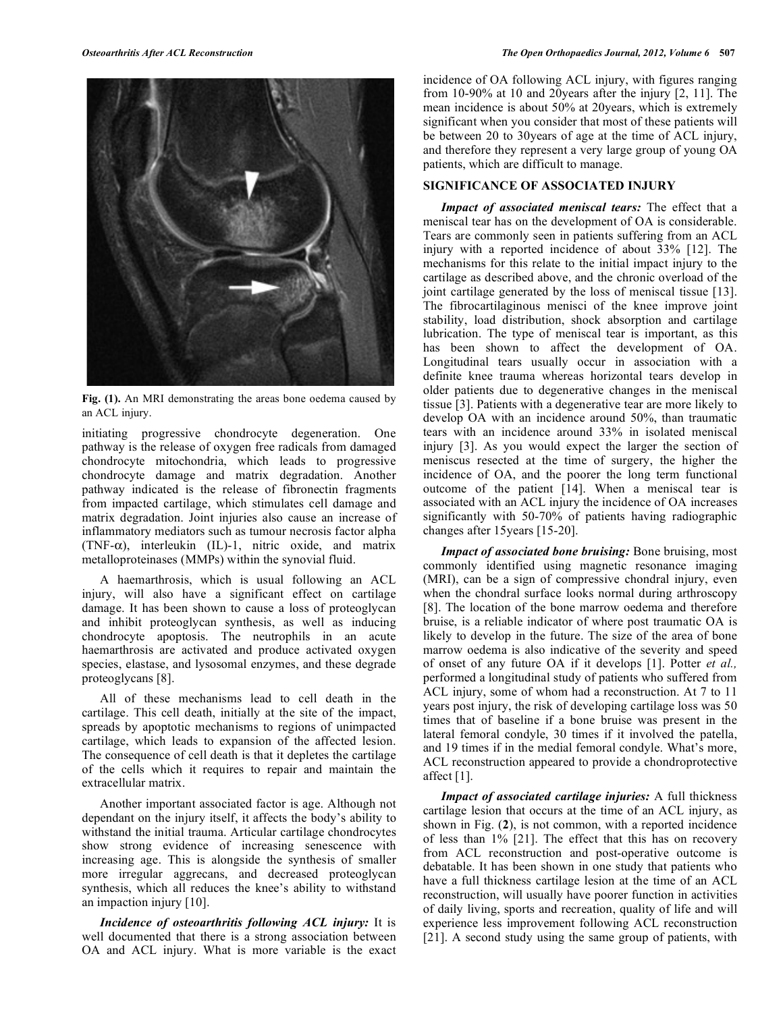

**Fig. (1).** An MRI demonstrating the areas bone oedema caused by an ACL injury.

initiating progressive chondrocyte degeneration. One pathway is the release of oxygen free radicals from damaged chondrocyte mitochondria, which leads to progressive chondrocyte damage and matrix degradation. Another pathway indicated is the release of fibronectin fragments from impacted cartilage, which stimulates cell damage and matrix degradation. Joint injuries also cause an increase of inflammatory mediators such as tumour necrosis factor alpha (TNF- $\alpha$ ), interleukin (IL)-1, nitric oxide, and matrix metalloproteinases (MMPs) within the synovial fluid.

 A haemarthrosis, which is usual following an ACL injury, will also have a significant effect on cartilage damage. It has been shown to cause a loss of proteoglycan and inhibit proteoglycan synthesis, as well as inducing chondrocyte apoptosis. The neutrophils in an acute haemarthrosis are activated and produce activated oxygen species, elastase, and lysosomal enzymes, and these degrade proteoglycans [8].

 All of these mechanisms lead to cell death in the cartilage. This cell death, initially at the site of the impact, spreads by apoptotic mechanisms to regions of unimpacted cartilage, which leads to expansion of the affected lesion. The consequence of cell death is that it depletes the cartilage of the cells which it requires to repair and maintain the extracellular matrix.

 Another important associated factor is age. Although not dependant on the injury itself, it affects the body's ability to withstand the initial trauma. Articular cartilage chondrocytes show strong evidence of increasing senescence with increasing age. This is alongside the synthesis of smaller more irregular aggrecans, and decreased proteoglycan synthesis, which all reduces the knee's ability to withstand an impaction injury [10].

 *Incidence of osteoarthritis following ACL injury:* It is well documented that there is a strong association between OA and ACL injury. What is more variable is the exact incidence of OA following ACL injury, with figures ranging from 10-90% at 10 and 20years after the injury [2, 11]. The mean incidence is about 50% at 20years, which is extremely significant when you consider that most of these patients will be between 20 to 30years of age at the time of ACL injury, and therefore they represent a very large group of young OA patients, which are difficult to manage.

## **SIGNIFICANCE OF ASSOCIATED INJURY**

 *Impact of associated meniscal tears:* The effect that a meniscal tear has on the development of OA is considerable. Tears are commonly seen in patients suffering from an ACL injury with a reported incidence of about 33% [12]. The mechanisms for this relate to the initial impact injury to the cartilage as described above, and the chronic overload of the joint cartilage generated by the loss of meniscal tissue [13]. The fibrocartilaginous menisci of the knee improve joint stability, load distribution, shock absorption and cartilage lubrication. The type of meniscal tear is important, as this has been shown to affect the development of OA. Longitudinal tears usually occur in association with a definite knee trauma whereas horizontal tears develop in older patients due to degenerative changes in the meniscal tissue [3]. Patients with a degenerative tear are more likely to develop OA with an incidence around 50%, than traumatic tears with an incidence around 33% in isolated meniscal injury [3]. As you would expect the larger the section of meniscus resected at the time of surgery, the higher the incidence of OA, and the poorer the long term functional outcome of the patient [14]. When a meniscal tear is associated with an ACL injury the incidence of OA increases significantly with 50-70% of patients having radiographic changes after 15years [15-20].

 *Impact of associated bone bruising:* Bone bruising, most commonly identified using magnetic resonance imaging (MRI), can be a sign of compressive chondral injury, even when the chondral surface looks normal during arthroscopy [8]. The location of the bone marrow oedema and therefore bruise, is a reliable indicator of where post traumatic OA is likely to develop in the future. The size of the area of bone marrow oedema is also indicative of the severity and speed of onset of any future OA if it develops [1]. Potter *et al.,*  performed a longitudinal study of patients who suffered from ACL injury, some of whom had a reconstruction. At 7 to 11 years post injury, the risk of developing cartilage loss was 50 times that of baseline if a bone bruise was present in the lateral femoral condyle, 30 times if it involved the patella, and 19 times if in the medial femoral condyle. What's more, ACL reconstruction appeared to provide a chondroprotective affect [1].

 *Impact of associated cartilage injuries:* A full thickness cartilage lesion that occurs at the time of an ACL injury, as shown in Fig. (**2**), is not common, with a reported incidence of less than 1% [21]. The effect that this has on recovery from ACL reconstruction and post-operative outcome is debatable. It has been shown in one study that patients who have a full thickness cartilage lesion at the time of an ACL reconstruction, will usually have poorer function in activities of daily living, sports and recreation, quality of life and will experience less improvement following ACL reconstruction [21]. A second study using the same group of patients, with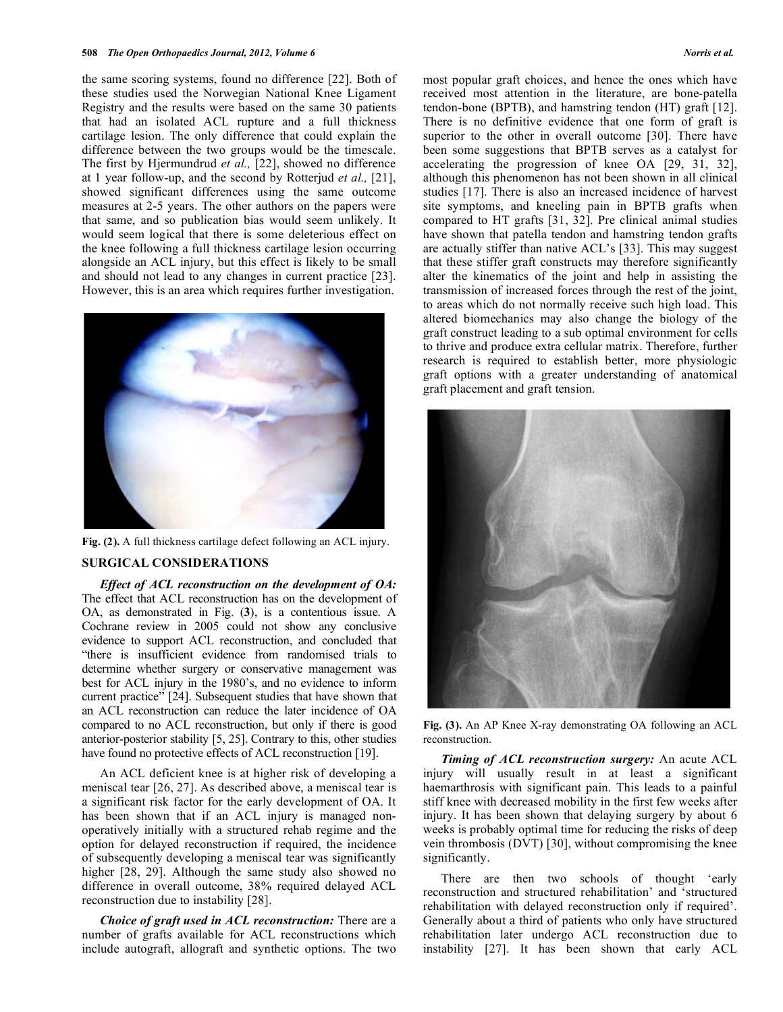the same scoring systems, found no difference [22]. Both of these studies used the Norwegian National Knee Ligament Registry and the results were based on the same 30 patients that had an isolated ACL rupture and a full thickness cartilage lesion. The only difference that could explain the difference between the two groups would be the timescale. The first by Hjermundrud *et al.,* [22], showed no difference at 1 year follow-up, and the second by Rotterjud *et al.,* [21], showed significant differences using the same outcome measures at 2-5 years. The other authors on the papers were that same, and so publication bias would seem unlikely. It would seem logical that there is some deleterious effect on the knee following a full thickness cartilage lesion occurring alongside an ACL injury, but this effect is likely to be small and should not lead to any changes in current practice [23]. However, this is an area which requires further investigation.



**Fig. (2).** A full thickness cartilage defect following an ACL injury.

## **SURGICAL CONSIDERATIONS**

 *Effect of ACL reconstruction on the development of OA:*  The effect that ACL reconstruction has on the development of OA, as demonstrated in Fig. (**3**), is a contentious issue. A Cochrane review in 2005 could not show any conclusive evidence to support ACL reconstruction, and concluded that "there is insufficient evidence from randomised trials to determine whether surgery or conservative management was best for ACL injury in the 1980's, and no evidence to inform current practice" [24]. Subsequent studies that have shown that an ACL reconstruction can reduce the later incidence of OA compared to no ACL reconstruction, but only if there is good anterior-posterior stability [5, 25]. Contrary to this, other studies have found no protective effects of ACL reconstruction [19].

 An ACL deficient knee is at higher risk of developing a meniscal tear [26, 27]. As described above, a meniscal tear is a significant risk factor for the early development of OA. It has been shown that if an ACL injury is managed nonoperatively initially with a structured rehab regime and the option for delayed reconstruction if required, the incidence of subsequently developing a meniscal tear was significantly higher [28, 29]. Although the same study also showed no difference in overall outcome, 38% required delayed ACL reconstruction due to instability [28].

 *Choice of graft used in ACL reconstruction:* There are a number of grafts available for ACL reconstructions which include autograft, allograft and synthetic options. The two

most popular graft choices, and hence the ones which have received most attention in the literature, are bone-patella tendon-bone (BPTB), and hamstring tendon (HT) graft [12]. There is no definitive evidence that one form of graft is superior to the other in overall outcome [30]. There have been some suggestions that BPTB serves as a catalyst for accelerating the progression of knee OA [29, 31, 32], although this phenomenon has not been shown in all clinical studies [17]. There is also an increased incidence of harvest site symptoms, and kneeling pain in BPTB grafts when compared to HT grafts [31, 32]. Pre clinical animal studies have shown that patella tendon and hamstring tendon grafts are actually stiffer than native ACL's [33]. This may suggest that these stiffer graft constructs may therefore significantly alter the kinematics of the joint and help in assisting the transmission of increased forces through the rest of the joint, to areas which do not normally receive such high load. This altered biomechanics may also change the biology of the graft construct leading to a sub optimal environment for cells to thrive and produce extra cellular matrix. Therefore, further research is required to establish better, more physiologic graft options with a greater understanding of anatomical graft placement and graft tension.



**Fig. (3).** An AP Knee X-ray demonstrating OA following an ACL reconstruction.

 *Timing of ACL reconstruction surgery:* An acute ACL injury will usually result in at least a significant haemarthrosis with significant pain. This leads to a painful stiff knee with decreased mobility in the first few weeks after injury. It has been shown that delaying surgery by about 6 weeks is probably optimal time for reducing the risks of deep vein thrombosis (DVT) [30], without compromising the knee significantly.

 There are then two schools of thought 'early reconstruction and structured rehabilitation' and 'structured rehabilitation with delayed reconstruction only if required'. Generally about a third of patients who only have structured rehabilitation later undergo ACL reconstruction due to instability [27]. It has been shown that early ACL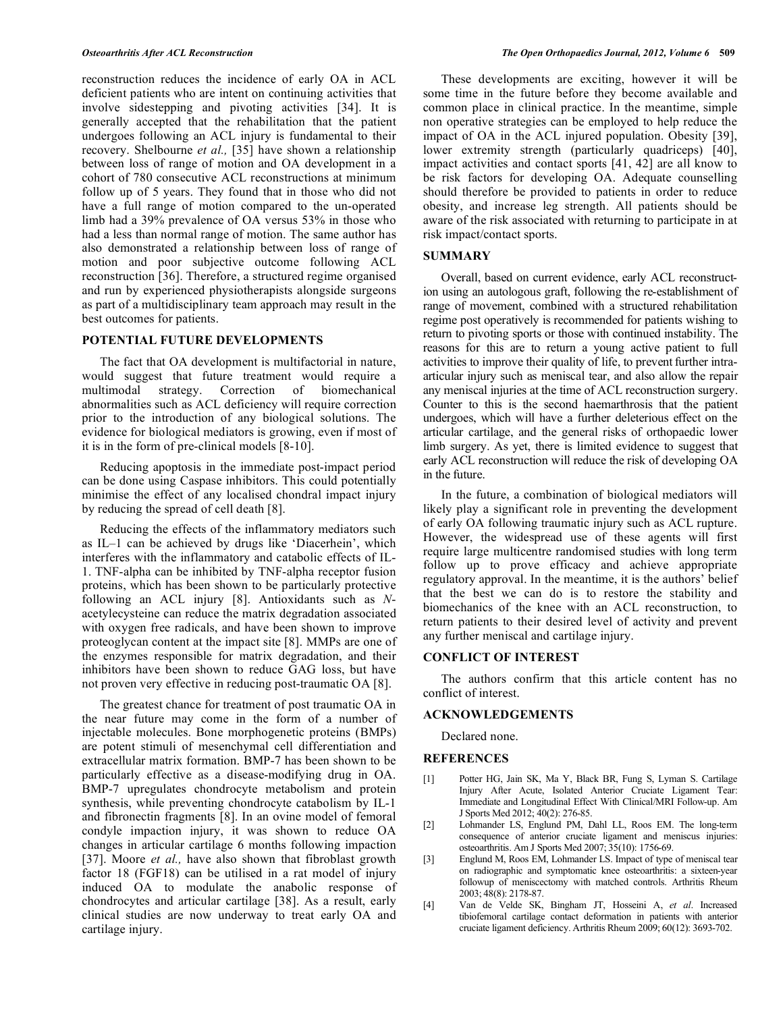reconstruction reduces the incidence of early OA in ACL deficient patients who are intent on continuing activities that involve sidestepping and pivoting activities [34]. It is generally accepted that the rehabilitation that the patient undergoes following an ACL injury is fundamental to their recovery. Shelbourne *et al.,* [35] have shown a relationship between loss of range of motion and OA development in a cohort of 780 consecutive ACL reconstructions at minimum follow up of 5 years. They found that in those who did not have a full range of motion compared to the un-operated limb had a 39% prevalence of OA versus 53% in those who had a less than normal range of motion. The same author has also demonstrated a relationship between loss of range of motion and poor subjective outcome following ACL reconstruction [36]. Therefore, a structured regime organised and run by experienced physiotherapists alongside surgeons as part of a multidisciplinary team approach may result in the best outcomes for patients.

#### **POTENTIAL FUTURE DEVELOPMENTS**

 The fact that OA development is multifactorial in nature, would suggest that future treatment would require a multimodal strategy. Correction of biomechanical abnormalities such as ACL deficiency will require correction prior to the introduction of any biological solutions. The evidence for biological mediators is growing, even if most of it is in the form of pre-clinical models [8-10].

 Reducing apoptosis in the immediate post-impact period can be done using Caspase inhibitors. This could potentially minimise the effect of any localised chondral impact injury by reducing the spread of cell death [8].

 Reducing the effects of the inflammatory mediators such as IL–1 can be achieved by drugs like 'Diacerhein', which interferes with the inflammatory and catabolic effects of IL-1. TNF-alpha can be inhibited by TNF-alpha receptor fusion proteins, which has been shown to be particularly protective following an ACL injury [8]. Antioxidants such as *N*acetylecysteine can reduce the matrix degradation associated with oxygen free radicals, and have been shown to improve proteoglycan content at the impact site [8]. MMPs are one of the enzymes responsible for matrix degradation, and their inhibitors have been shown to reduce GAG loss, but have not proven very effective in reducing post-traumatic OA [8].

 The greatest chance for treatment of post traumatic OA in the near future may come in the form of a number of injectable molecules. Bone morphogenetic proteins (BMPs) are potent stimuli of mesenchymal cell differentiation and extracellular matrix formation. BMP-7 has been shown to be particularly effective as a disease-modifying drug in OA. BMP-7 upregulates chondrocyte metabolism and protein synthesis, while preventing chondrocyte catabolism by IL-1 and fibronectin fragments [8]. In an ovine model of femoral condyle impaction injury, it was shown to reduce OA changes in articular cartilage 6 months following impaction [37]. Moore *et al.*, have also shown that fibroblast growth factor 18 (FGF18) can be utilised in a rat model of injury induced OA to modulate the anabolic response of chondrocytes and articular cartilage [38]. As a result, early clinical studies are now underway to treat early OA and cartilage injury.

 These developments are exciting, however it will be some time in the future before they become available and common place in clinical practice. In the meantime, simple non operative strategies can be employed to help reduce the impact of OA in the ACL injured population. Obesity [39], lower extremity strength (particularly quadriceps) [40], impact activities and contact sports [41, 42] are all know to be risk factors for developing OA. Adequate counselling should therefore be provided to patients in order to reduce obesity, and increase leg strength. All patients should be aware of the risk associated with returning to participate in at risk impact/contact sports.

## **SUMMARY**

 Overall, based on current evidence, early ACL reconstruction using an autologous graft, following the re-establishment of range of movement, combined with a structured rehabilitation regime post operatively is recommended for patients wishing to return to pivoting sports or those with continued instability. The reasons for this are to return a young active patient to full activities to improve their quality of life, to prevent further intraarticular injury such as meniscal tear, and also allow the repair any meniscal injuries at the time of ACL reconstruction surgery. Counter to this is the second haemarthrosis that the patient undergoes, which will have a further deleterious effect on the articular cartilage, and the general risks of orthopaedic lower limb surgery. As yet, there is limited evidence to suggest that early ACL reconstruction will reduce the risk of developing OA in the future.

 In the future, a combination of biological mediators will likely play a significant role in preventing the development of early OA following traumatic injury such as ACL rupture. However, the widespread use of these agents will first require large multicentre randomised studies with long term follow up to prove efficacy and achieve appropriate regulatory approval. In the meantime, it is the authors' belief that the best we can do is to restore the stability and biomechanics of the knee with an ACL reconstruction, to return patients to their desired level of activity and prevent any further meniscal and cartilage injury.

#### **CONFLICT OF INTEREST**

 The authors confirm that this article content has no conflict of interest.

#### **ACKNOWLEDGEMENTS**

Declared none.

### **REFERENCES**

- [1] Potter HG, Jain SK, Ma Y, Black BR, Fung S, Lyman S. Cartilage Injury After Acute, Isolated Anterior Cruciate Ligament Tear: Immediate and Longitudinal Effect With Clinical/MRI Follow-up. Am J Sports Med 2012; 40(2): 276-85.
- [2] Lohmander LS, Englund PM, Dahl LL, Roos EM. The long-term consequence of anterior cruciate ligament and meniscus injuries: osteoarthritis. Am J Sports Med 2007; 35(10): 1756-69.
- [3] Englund M, Roos EM, Lohmander LS. Impact of type of meniscal tear on radiographic and symptomatic knee osteoarthritis: a sixteen-year followup of meniscectomy with matched controls. Arthritis Rheum 2003; 48(8): 2178-87.
- [4] Van de Velde SK, Bingham JT, Hosseini A, *et al*. Increased tibiofemoral cartilage contact deformation in patients with anterior cruciate ligament deficiency. Arthritis Rheum 2009; 60(12): 3693-702.